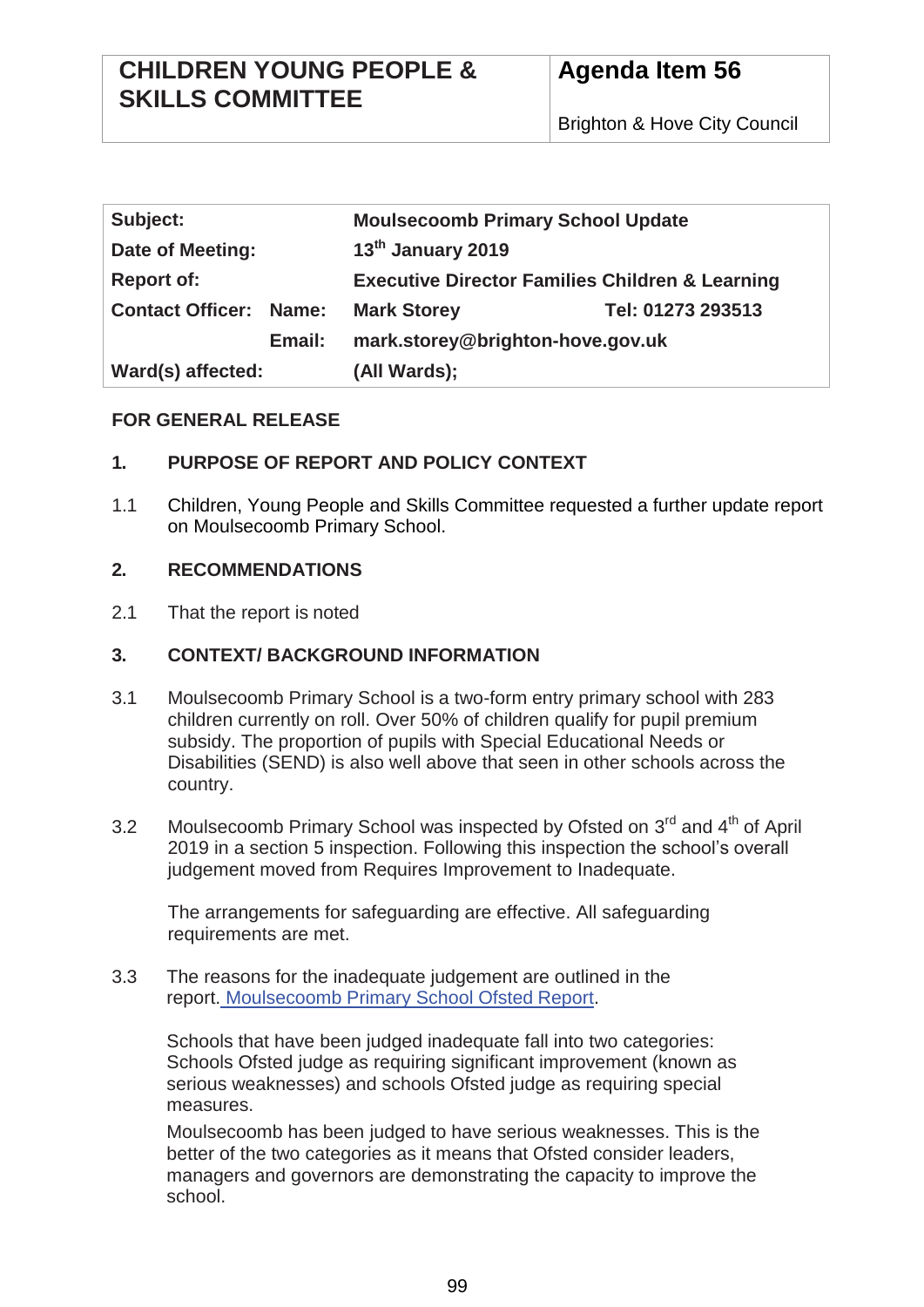| Subject:                         | <b>Moulsecoomb Primary School Update</b>                   |                   |
|----------------------------------|------------------------------------------------------------|-------------------|
| Date of Meeting:                 | 13 <sup>th</sup> January 2019                              |                   |
| <b>Report of:</b>                | <b>Executive Director Families Children &amp; Learning</b> |                   |
| <b>Contact Officer:</b><br>Name: | <b>Mark Storey</b>                                         | Tel: 01273 293513 |
| Email:                           | mark.storey@brighton-hove.gov.uk                           |                   |
| Ward(s) affected:                | (All Wards);                                               |                   |

# **FOR GENERAL RELEASE**

# **1. PURPOSE OF REPORT AND POLICY CONTEXT**

1.1 Children, Young People and Skills Committee requested a further update report on Moulsecoomb Primary School.

## **2. RECOMMENDATIONS**

2.1 That the report is noted

## **3. CONTEXT/ BACKGROUND INFORMATION**

- 3.1 Moulsecoomb Primary School is a two-form entry primary school with 283 children currently on roll. Over 50% of children qualify for pupil premium subsidy. The proportion of pupils with Special Educational Needs or Disabilities (SEND) is also well above that seen in other schools across the country.
- 3.2 Moulsecoomb Primary School was inspected by Ofsted on 3<sup>rd</sup> and 4<sup>th</sup> of April 2019 in a section 5 inspection. Following this inspection the school's overall judgement moved from Requires Improvement to Inadequate.

The arrangements for safeguarding are effective. All safeguarding requirements are met.

3.3 The reasons for the inadequate judgement are outlined in the report. Moulsecoomb Primary School Ofsted Report.

Schools that have been judged inadequate fall into two categories: Schools Ofsted judge as requiring significant improvement (known as serious weaknesses) and schools Ofsted judge as requiring special measures.

Moulsecoomb has been judged to have serious weaknesses. This is the better of the two categories as it means that Ofsted consider leaders, managers and governors are demonstrating the capacity to improve the school.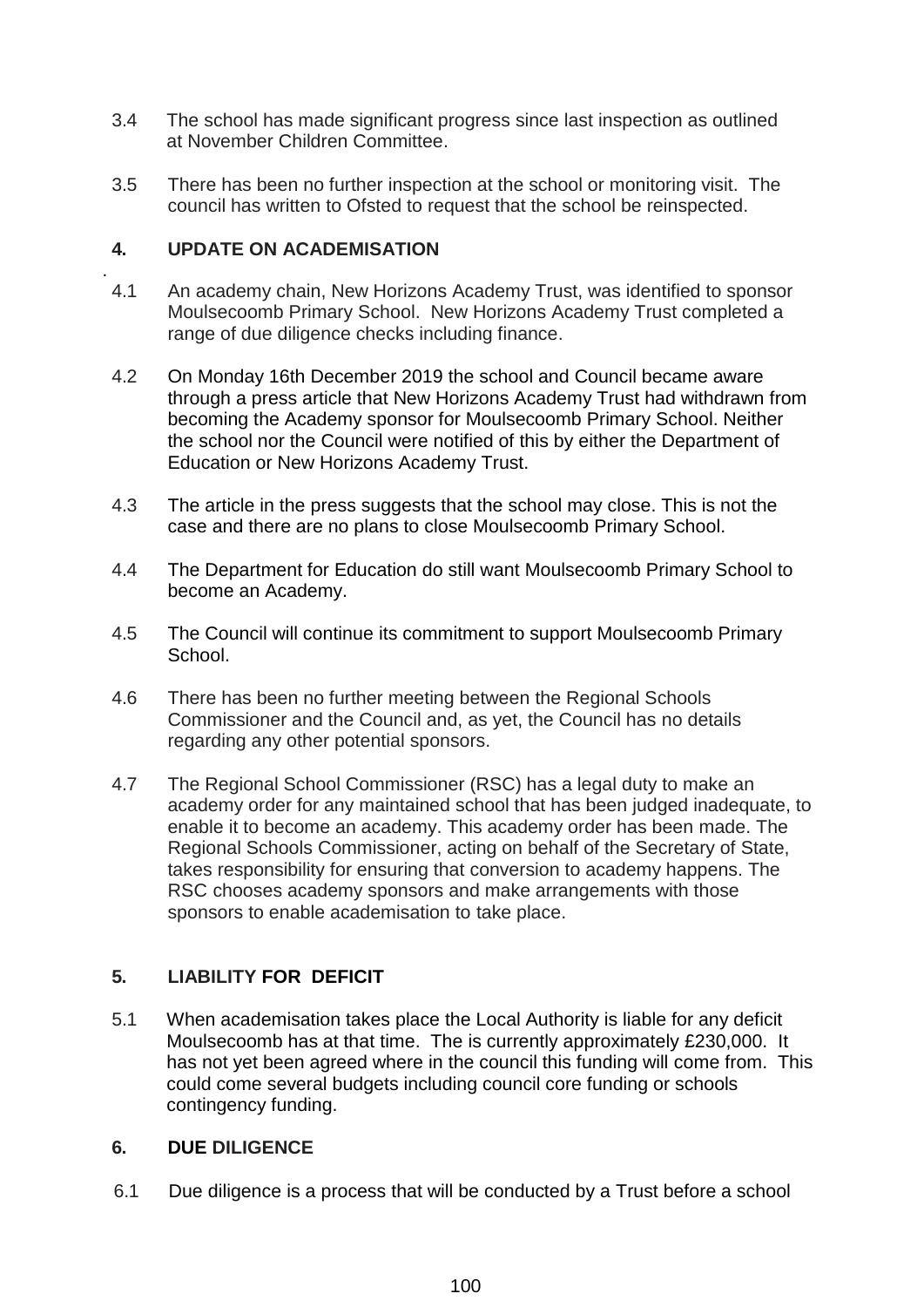- 3.4 The school has made significant progress since last inspection as outlined at November Children Committee.
- 3.5 There has been no further inspection at the school or monitoring visit. The council has written to Ofsted to request that the school be reinspected.

# **4. UPDATE ON ACADEMISATION**

- . 4.1 An academy chain, New Horizons Academy Trust, was identified to sponsor Moulsecoomb Primary School. New Horizons Academy Trust completed a range of due diligence checks including finance.
- 4.2 On Monday 16th December 2019 the school and Council became aware through a press article that New Horizons Academy Trust had withdrawn from becoming the Academy sponsor for Moulsecoomb Primary School. Neither the school nor the Council were notified of this by either the Department of Education or New Horizons Academy Trust.
- 4.3 The article in the press suggests that the school may close. This is not the case and there are no plans to close Moulsecoomb Primary School.
- 4.4 The Department for Education do still want Moulsecoomb Primary School to become an Academy.
- 4.5 The Council will continue its commitment to support Moulsecoomb Primary School.
- 4.6 There has been no further meeting between the Regional Schools Commissioner and the Council and, as yet, the Council has no details regarding any other potential sponsors.
- 4.7 The Regional School Commissioner (RSC) has a legal duty to make an academy order for any maintained school that has been judged inadequate, to enable it to become an academy. This academy order has been made. The Regional Schools Commissioner, acting on behalf of the Secretary of State, takes responsibility for ensuring that conversion to academy happens. The RSC chooses academy sponsors and make arrangements with those sponsors to enable academisation to take place.

# **5. LIABILITY FOR DEFICIT**

5.1 When academisation takes place the Local Authority is liable for any deficit Moulsecoomb has at that time. The is currently approximately £230,000. It has not yet been agreed where in the council this funding will come from. This could come several budgets including council core funding or schools contingency funding.

## **6. DUE DILIGENCE**

6.1 Due diligence is a process that will be conducted by a Trust before a school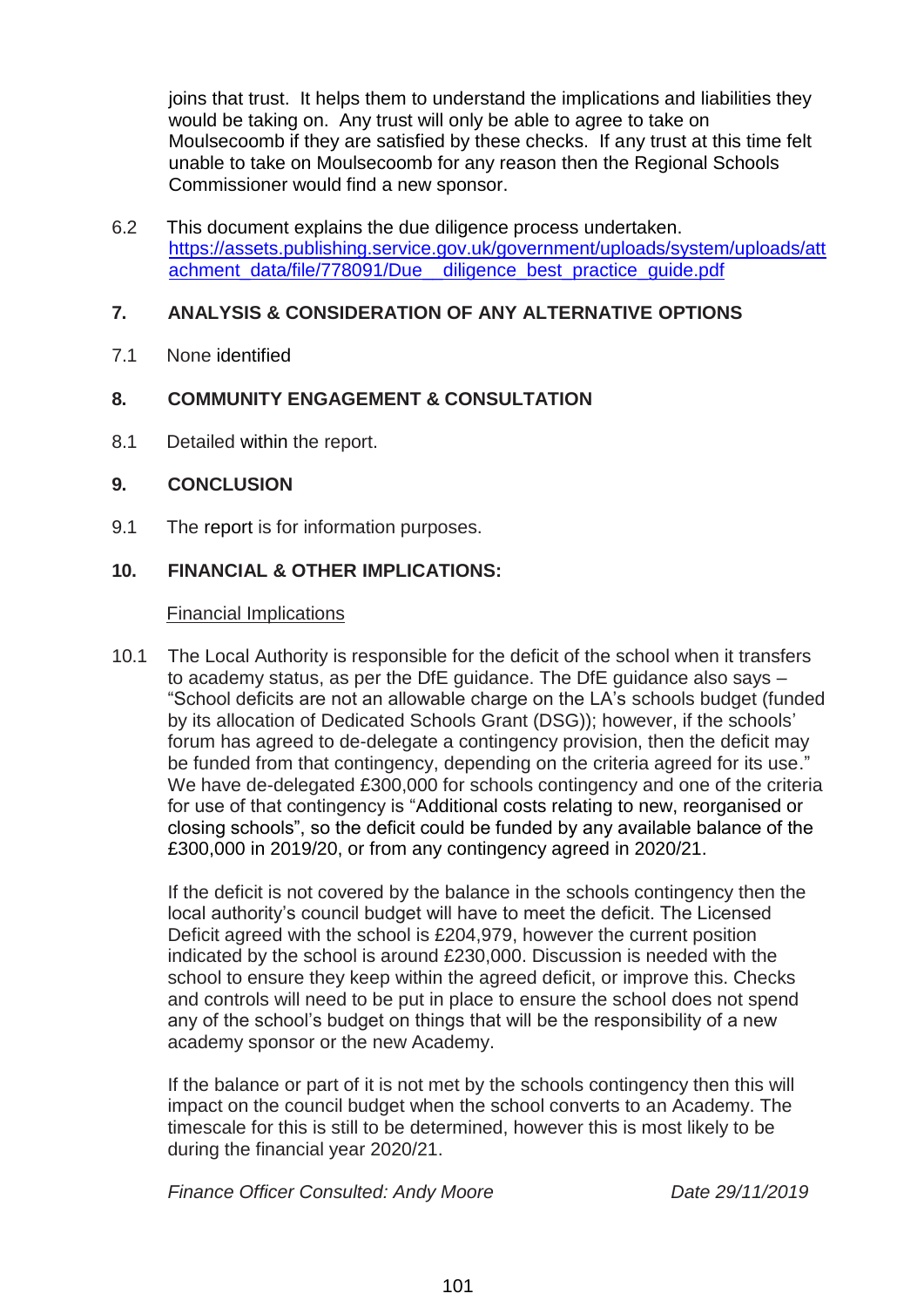joins that trust. It helps them to understand the implications and liabilities they would be taking on. Any trust will only be able to agree to take on Moulsecoomb if they are satisfied by these checks. If any trust at this time felt unable to take on Moulsecoomb for any reason then the Regional Schools Commissioner would find a new sponsor.

6.2 This document explains the due diligence process undertaken. [https://assets.publishing.service.gov.uk/government/uploads/system/uploads/att](https://assets.publishing.service.gov.uk/government/uploads/system/uploads/attachment_data/file/778091/Due__diligence_best_practice_guide.pdf) achment\_data/file/778091/Due\_diligence\_best\_practice\_guide.pdf

# **7. ANALYSIS & CONSIDERATION OF ANY ALTERNATIVE OPTIONS**

7.1 None identified

# **8. COMMUNITY ENGAGEMENT & CONSULTATION**

8.1 Detailed within the report.

### **9. CONCLUSION**

9.1 The report is for information purposes.

### **10. FINANCIAL & OTHER IMPLICATIONS:**

#### Financial Implications

10.1 The Local Authority is responsible for the deficit of the school when it transfers to academy status, as per the DfE guidance. The DfE guidance also says – "School deficits are not an allowable charge on the LA's schools budget (funded by its allocation of Dedicated Schools Grant (DSG)); however, if the schools' forum has agreed to de-delegate a contingency provision, then the deficit may be funded from that contingency, depending on the criteria agreed for its use." We have de-delegated £300,000 for schools contingency and one of the criteria for use of that contingency is "Additional costs relating to new, reorganised or closing schools", so the deficit could be funded by any available balance of the £300,000 in 2019/20, or from any contingency agreed in 2020/21.

If the deficit is not covered by the balance in the schools contingency then the local authority's council budget will have to meet the deficit. The Licensed Deficit agreed with the school is £204,979, however the current position indicated by the school is around £230,000. Discussion is needed with the school to ensure they keep within the agreed deficit, or improve this. Checks and controls will need to be put in place to ensure the school does not spend any of the school's budget on things that will be the responsibility of a new academy sponsor or the new Academy.

If the balance or part of it is not met by the schools contingency then this will impact on the council budget when the school converts to an Academy. The timescale for this is still to be determined, however this is most likely to be during the financial year 2020/21.

*Finance Officer Consulted: Andy Moore Date 29/11/2019*